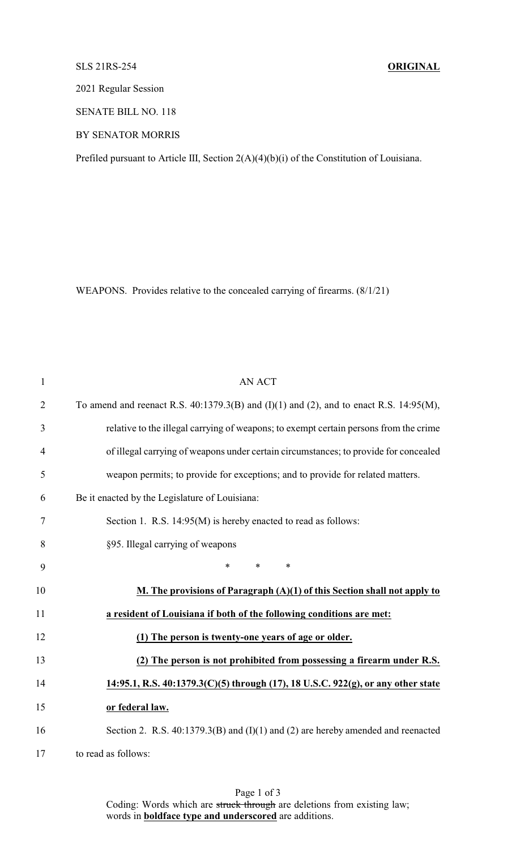## SLS 21RS-254 **ORIGINAL**

2021 Regular Session

SENATE BILL NO. 118

BY SENATOR MORRIS

Prefiled pursuant to Article III, Section 2(A)(4)(b)(i) of the Constitution of Louisiana.

WEAPONS. Provides relative to the concealed carrying of firearms. (8/1/21)

| $\mathbf{1}$   | <b>AN ACT</b>                                                                                 |
|----------------|-----------------------------------------------------------------------------------------------|
| $\overline{2}$ | To amend and reenact R.S. $40:1379.3(B)$ and $(I)(1)$ and $(2)$ , and to enact R.S. 14:95(M), |
| 3              | relative to the illegal carrying of weapons; to exempt certain persons from the crime         |
| $\overline{4}$ | of illegal carrying of weapons under certain circumstances; to provide for concealed          |
| 5              | weapon permits; to provide for exceptions; and to provide for related matters.                |
| 6              | Be it enacted by the Legislature of Louisiana:                                                |
| 7              | Section 1. R.S. 14:95(M) is hereby enacted to read as follows:                                |
| 8              | §95. Illegal carrying of weapons                                                              |
| 9              | *<br>$\ast$<br>$\ast$                                                                         |
| 10             | M. The provisions of Paragraph (A)(1) of this Section shall not apply to                      |
| 11             | a resident of Louisiana if both of the following conditions are met:                          |
| 12             | (1) The person is twenty-one years of age or older.                                           |
| 13             | (2) The person is not prohibited from possessing a firearm under R.S.                         |
| 14             | 14:95.1, R.S. 40:1379.3(C)(5) through (17), 18 U.S.C. 922(g), or any other state              |
| 15             | or federal law.                                                                               |
| 16             | Section 2. R.S. $40:1379.3(B)$ and $(I)(1)$ and $(2)$ are hereby amended and reenacted        |
| 17             | to read as follows:                                                                           |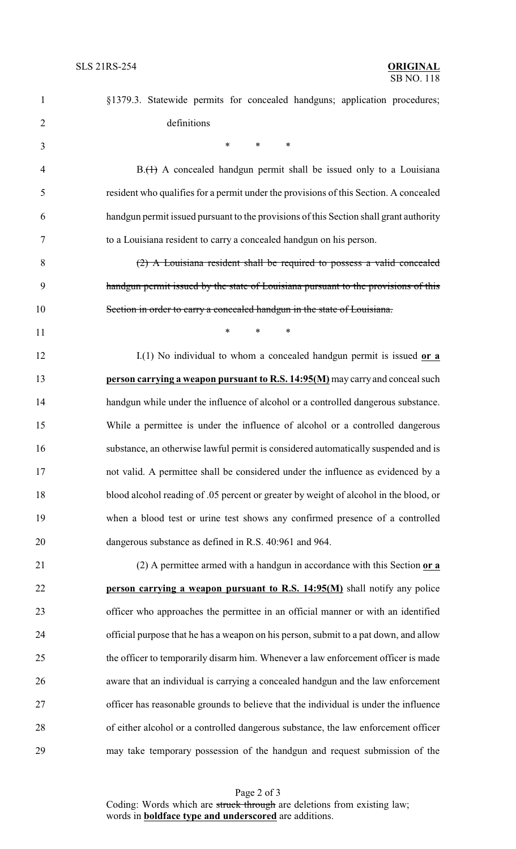| $\mathbf{1}$   | §1379.3. Statewide permits for concealed handguns; application procedures;             |
|----------------|----------------------------------------------------------------------------------------|
| $\overline{2}$ | definitions                                                                            |
| 3              | $\ast$<br>$\ast$<br>∗                                                                  |
| $\overline{4}$ | $B1(H)$ A concealed handgun permit shall be issued only to a Louisiana                 |
| 5              | resident who qualifies for a permit under the provisions of this Section. A concealed  |
| 6              | handgun permit issued pursuant to the provisions of this Section shall grant authority |
| $\tau$         | to a Louisiana resident to carry a concealed handgun on his person.                    |
| 8              | $(2)$ A Louisiana resident shall be required to possess a valid concealed              |
| 9              | handgun permit issued by the state of Louisiana pursuant to the provisions of this     |
| 10             | Section in order to carry a concealed handgun in the state of Louisiana.               |
| 11             | $\ast$<br>$\ast$<br>∗                                                                  |
| 12             | $I(1)$ No individual to whom a concealed handgun permit is issued or a                 |
| 13             | person carrying a weapon pursuant to R.S. 14:95(M) may carry and conceal such          |
| 14             | handgun while under the influence of alcohol or a controlled dangerous substance.      |
| 15             | While a permittee is under the influence of alcohol or a controlled dangerous          |
| 16             | substance, an otherwise lawful permit is considered automatically suspended and is     |
| 17             | not valid. A permittee shall be considered under the influence as evidenced by a       |
| 18             | blood alcohol reading of .05 percent or greater by weight of alcohol in the blood, or  |
| 19             | when a blood test or urine test shows any confirmed presence of a controlled           |
| 20             | dangerous substance as defined in R.S. 40:961 and 964.                                 |
| 21             | (2) A permittee armed with a handgun in accordance with this Section or a              |
| 22             | person carrying a weapon pursuant to R.S. 14:95(M) shall notify any police             |
| 23             | officer who approaches the permittee in an official manner or with an identified       |
| 24             | official purpose that he has a weapon on his person, submit to a pat down, and allow   |
| 25             | the officer to temporarily disarm him. Whenever a law enforcement officer is made      |
| 26             | aware that an individual is carrying a concealed handgun and the law enforcement       |
| 27             | officer has reasonable grounds to believe that the individual is under the influence   |
| 28             | of either alcohol or a controlled dangerous substance, the law enforcement officer     |
| 29             | may take temporary possession of the handgun and request submission of the             |

Page 2 of 3 Coding: Words which are struck through are deletions from existing law; words in **boldface type and underscored** are additions.